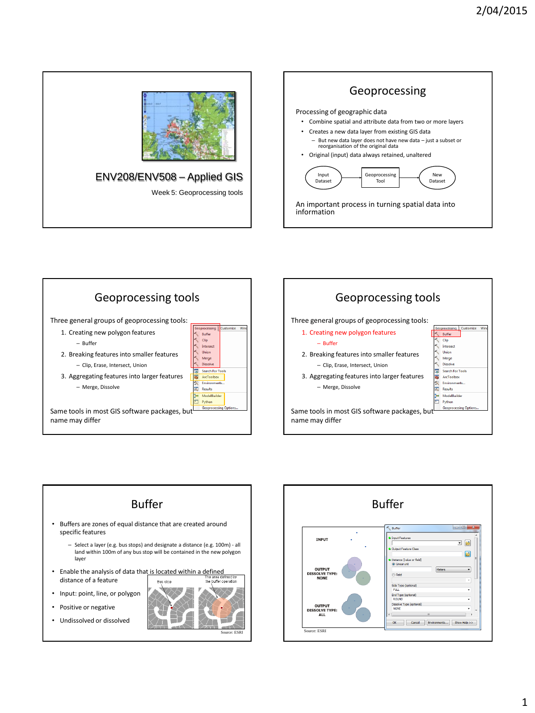









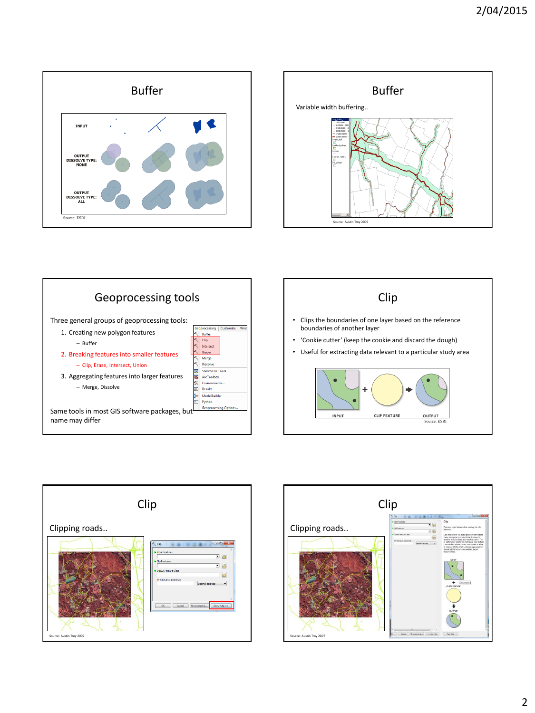







- Clips the boundaries of one layer based on the reference boundaries of another layer
- 'Cookie cutter' (keep the cookie and discard the dough)
- Useful for extracting data relevant to a particular study area





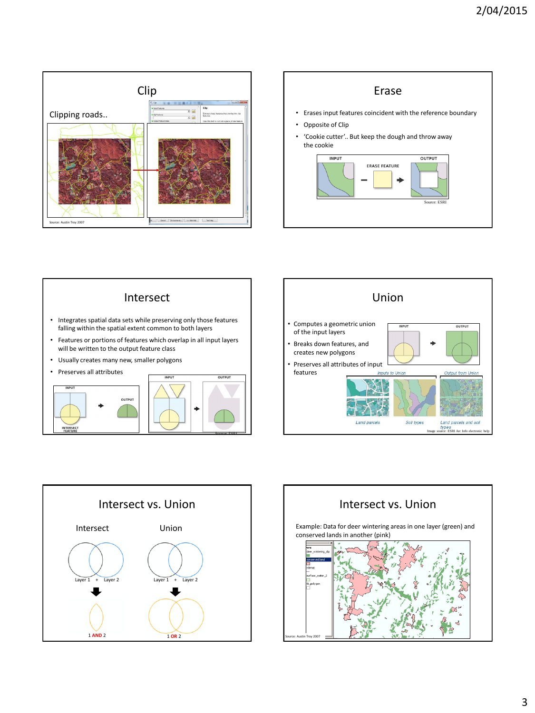









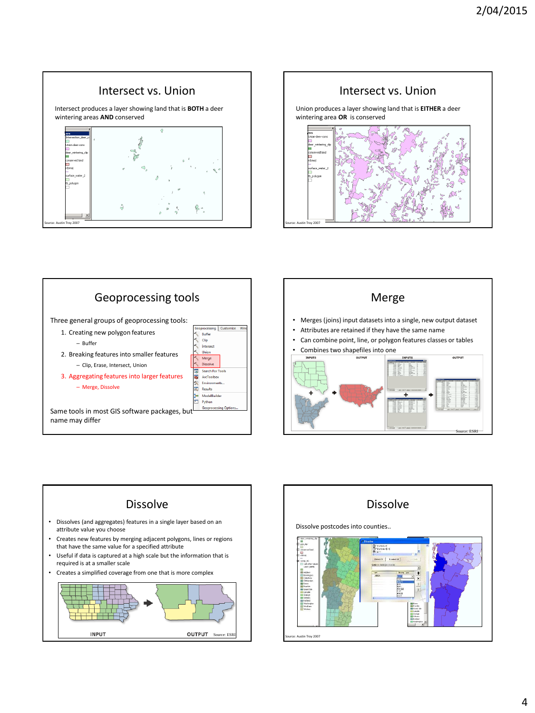